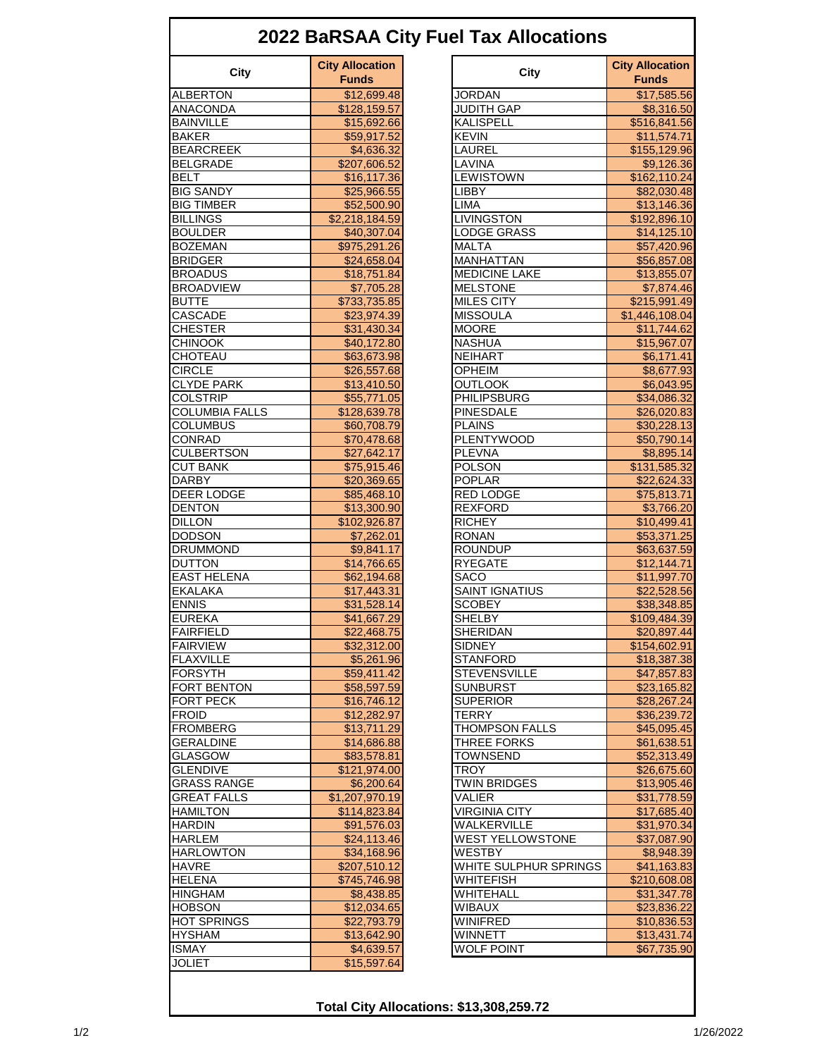| <b>City Allocation</b><br><b>City Allocation</b><br>City<br>City<br><b>Funds</b><br><b>Funds</b><br><b>ALBERTON</b><br><b>JORDAN</b><br>\$12,699.48<br>\$17,585.56<br>\$128,159.57<br><b>JUDITH GAP</b><br>\$8,316.50<br><b>KALISPELL</b><br>\$516,841.56<br>\$15,692.66<br><b>BAKER</b><br><b>KEVIN</b><br>\$59,917.52<br>\$11,574.71<br>LAUREL<br>\$155,129.96<br>\$4,636.32<br>LAVINA<br><b>BELGRADE</b><br>\$9,126.36<br>\$207,606.52<br><b>BELT</b><br><b>LEWISTOWN</b><br>\$16,117.36<br>\$162,110.24<br><b>LIBBY</b><br>\$82,030.48<br>\$25,966.55<br><b>BIG TIMBER</b><br>\$52,500.90<br><b>LIMA</b><br>\$13,146.36<br><b>BILLINGS</b><br><b>LIVINGSTON</b><br>\$2,218,184.59<br>\$192,896.10<br><b>BOULDER</b><br>\$40,307.04<br><b>LODGE GRASS</b><br>\$14,125.10<br><b>MALTA</b><br>\$975,291.26<br>\$57,420.96<br>MANHATTAN<br>\$24,658.04<br>\$56,857.08<br><b>BROADUS</b><br><b>MEDICINE LAKE</b><br>\$18,751.84<br>\$13,855.07<br><b>MELSTONE</b><br>\$7,705.28<br>\$7,874.46<br><b>MILES CITY</b><br>\$733,735.85<br>\$215,991.49<br>CASCADE<br>\$23,974.39<br><b>MISSOULA</b><br>\$1,446,108.04<br><b>CHESTER</b><br><b>MOORE</b><br>\$11,744.62<br>\$31,430.34<br><b>NASHUA</b><br><b>CHINOOK</b><br>\$40,172.80<br>\$15,967.07<br>CHOTEAU<br><b>NEIHART</b><br>\$63,673.98<br>\$6,171.41<br><b>CIRCLE</b><br><b>OPHEIM</b><br>\$26,557.68<br>\$8,677.93<br><b>CLYDE PARK</b><br><b>OUTLOOK</b><br>\$13,410.50<br>\$6,043.95<br><b>COLSTRIP</b><br><b>PHILIPSBURG</b><br>\$55,771.05<br>\$34,086.32<br><b>COLUMBIA FALLS</b><br><b>PINESDALE</b><br>\$128,639.78<br>\$26,020.83<br><b>PLAINS</b><br><b>COLUMBUS</b><br>\$60,708.79<br>\$30,228.13<br>CONRAD<br><b>PLENTYWOOD</b><br>\$70,478.68<br>\$50,790.14<br><b>CULBERTSON</b><br><b>PLEVNA</b><br>\$27,642.17<br>\$8,895.14<br><b>CUT BANK</b><br>\$75,915.46<br><b>POLSON</b><br>\$131,585.32<br><b>DARBY</b><br>\$20,369.65<br><b>POPLAR</b><br>\$22,624.33<br>DEER LODGE<br><b>RED LODGE</b><br>\$85,468.10<br>\$75,813.71<br><b>DENTON</b><br><b>REXFORD</b><br>\$3,766.20<br>\$13,300.90<br><b>DILLON</b><br><b>RICHEY</b><br>\$102,926.87<br>\$10,499.41<br><b>DODSON</b><br><b>RONAN</b><br>\$53,371.25<br>\$7,262.01<br><b>ROUNDUP</b><br><b>DRUMMOND</b><br>\$9,841.17<br>\$63,637.59<br><b>DUTTON</b><br>\$14,766.65<br><b>RYEGATE</b><br>\$12,144.71<br><b>EAST HELENA</b><br><b>SACO</b><br>\$62,194.68<br>\$11,997.70<br><b>SAINT IGNATIUS</b><br><b>EKALAKA</b><br>\$17,443.31<br>\$22,528.56<br><b>ENNIS</b><br><b>SCOBEY</b><br>\$31,528.14<br>\$38,348.85<br>SHFI BY<br><b>EUREKA</b><br>\$41,667.29<br>\$109,484.39<br><b>FAIRFIELD</b><br><b>SHERIDAN</b><br>\$22,468.75<br>\$20,897.44<br><b>FAIRVIEW</b><br><b>SIDNEY</b><br>\$32,312.00<br>\$154,602.91<br><b>FLAXVILLE</b><br><b>STANFORD</b><br>\$5,261.96<br>\$18,387.38<br><b>FORSYTH</b><br><b>STEVENSVILLE</b><br>\$59,411.42<br>\$47,857.83<br>FORT BENTON<br><b>SUNBURST</b><br>\$58,597.59<br>\$23,165.82<br><b>FORT PECK</b><br><b>SUPERIOR</b><br>\$16,746.12<br>\$28,267.24<br><b>FROID</b><br>\$12,282.97<br>\$36,239.72<br>TERRY<br><b>FROMBERG</b><br><b>THOMPSON FALLS</b><br>\$13,711.29<br>\$45,095.45<br><b>THREE FORKS</b><br><b>GERALDINE</b><br>\$14,686.88<br>\$61,638.51<br><b>GLASGOW</b><br>\$83,578.81<br>TOWNSEND<br>\$52,313.49<br><b>GLENDIVE</b><br>TROY<br>\$121.974.00<br>\$26,675.60<br><b>GRASS RANGE</b><br>TWIN BRIDGES<br>\$13,905.46<br>\$6,200.64<br><b>GREAT FALLS</b><br><b>VALIER</b><br>\$1,207,970.19<br>\$31,778.59<br>\$114,823.84<br><b>VIRGINIA CITY</b><br><b>HAMILTON</b><br>\$17,685.40<br><b>HARDIN</b><br>WALKERVILLE<br>\$91,576.03<br>\$31,970.34<br>WEST YELLOWSTONE<br><b>HARLEM</b><br>\$24,113.46<br>\$37,087.90<br>WESTBY<br><b>HARLOWTON</b><br>\$34,168.96<br>\$8,948.39<br><b>HAVRE</b><br>WHITE SULPHUR SPRINGS<br>\$207,510.12<br>\$41,163.83<br><b>HELENA</b><br>\$745,746.98<br>WHITEFISH<br>\$210,608.08<br><b>HINGHAM</b><br>WHITEHALL<br>\$8,438.85<br>\$31,347.78<br><b>HOBSON</b><br><b>WIBAUX</b><br>\$12,034.65<br>\$23,836.22<br><b>HOT SPRINGS</b><br>\$22,793.79<br>WINIFRED<br>\$10,836.53<br><b>HYSHAM</b><br>\$13,642.90<br>WINNETT<br>\$13,431.74<br><b>WOLF POINT</b><br>\$67,735.90<br><b>ISMAY</b><br>\$4,639.57<br>\$15,597.64<br><b>JOLIET</b> |                  | 2022 BaRSAA City Fuel Tax Allocations |  |
|-------------------------------------------------------------------------------------------------------------------------------------------------------------------------------------------------------------------------------------------------------------------------------------------------------------------------------------------------------------------------------------------------------------------------------------------------------------------------------------------------------------------------------------------------------------------------------------------------------------------------------------------------------------------------------------------------------------------------------------------------------------------------------------------------------------------------------------------------------------------------------------------------------------------------------------------------------------------------------------------------------------------------------------------------------------------------------------------------------------------------------------------------------------------------------------------------------------------------------------------------------------------------------------------------------------------------------------------------------------------------------------------------------------------------------------------------------------------------------------------------------------------------------------------------------------------------------------------------------------------------------------------------------------------------------------------------------------------------------------------------------------------------------------------------------------------------------------------------------------------------------------------------------------------------------------------------------------------------------------------------------------------------------------------------------------------------------------------------------------------------------------------------------------------------------------------------------------------------------------------------------------------------------------------------------------------------------------------------------------------------------------------------------------------------------------------------------------------------------------------------------------------------------------------------------------------------------------------------------------------------------------------------------------------------------------------------------------------------------------------------------------------------------------------------------------------------------------------------------------------------------------------------------------------------------------------------------------------------------------------------------------------------------------------------------------------------------------------------------------------------------------------------------------------------------------------------------------------------------------------------------------------------------------------------------------------------------------------------------------------------------------------------------------------------------------------------------------------------------------------------------------------------------------------------------------------------------------------------------------------------------------------------------------------------------------------------------------------------------------------------------------------------------------------------------------------------------------------------------------------------------------------------------------------------------------------------------------------------------------------------------------------------------------------------------------------------------------------------------------------------------------------------------------------------------------------------------------------------------------------------------------------------------------|------------------|---------------------------------------|--|
|                                                                                                                                                                                                                                                                                                                                                                                                                                                                                                                                                                                                                                                                                                                                                                                                                                                                                                                                                                                                                                                                                                                                                                                                                                                                                                                                                                                                                                                                                                                                                                                                                                                                                                                                                                                                                                                                                                                                                                                                                                                                                                                                                                                                                                                                                                                                                                                                                                                                                                                                                                                                                                                                                                                                                                                                                                                                                                                                                                                                                                                                                                                                                                                                                                                                                                                                                                                                                                                                                                                                                                                                                                                                                                                                                                                                                                                                                                                                                                                                                                                                                                                                                                                                                                                                                     |                  |                                       |  |
|                                                                                                                                                                                                                                                                                                                                                                                                                                                                                                                                                                                                                                                                                                                                                                                                                                                                                                                                                                                                                                                                                                                                                                                                                                                                                                                                                                                                                                                                                                                                                                                                                                                                                                                                                                                                                                                                                                                                                                                                                                                                                                                                                                                                                                                                                                                                                                                                                                                                                                                                                                                                                                                                                                                                                                                                                                                                                                                                                                                                                                                                                                                                                                                                                                                                                                                                                                                                                                                                                                                                                                                                                                                                                                                                                                                                                                                                                                                                                                                                                                                                                                                                                                                                                                                                                     |                  |                                       |  |
|                                                                                                                                                                                                                                                                                                                                                                                                                                                                                                                                                                                                                                                                                                                                                                                                                                                                                                                                                                                                                                                                                                                                                                                                                                                                                                                                                                                                                                                                                                                                                                                                                                                                                                                                                                                                                                                                                                                                                                                                                                                                                                                                                                                                                                                                                                                                                                                                                                                                                                                                                                                                                                                                                                                                                                                                                                                                                                                                                                                                                                                                                                                                                                                                                                                                                                                                                                                                                                                                                                                                                                                                                                                                                                                                                                                                                                                                                                                                                                                                                                                                                                                                                                                                                                                                                     | <b>ANACONDA</b>  |                                       |  |
|                                                                                                                                                                                                                                                                                                                                                                                                                                                                                                                                                                                                                                                                                                                                                                                                                                                                                                                                                                                                                                                                                                                                                                                                                                                                                                                                                                                                                                                                                                                                                                                                                                                                                                                                                                                                                                                                                                                                                                                                                                                                                                                                                                                                                                                                                                                                                                                                                                                                                                                                                                                                                                                                                                                                                                                                                                                                                                                                                                                                                                                                                                                                                                                                                                                                                                                                                                                                                                                                                                                                                                                                                                                                                                                                                                                                                                                                                                                                                                                                                                                                                                                                                                                                                                                                                     | <b>BAINVILLE</b> |                                       |  |
|                                                                                                                                                                                                                                                                                                                                                                                                                                                                                                                                                                                                                                                                                                                                                                                                                                                                                                                                                                                                                                                                                                                                                                                                                                                                                                                                                                                                                                                                                                                                                                                                                                                                                                                                                                                                                                                                                                                                                                                                                                                                                                                                                                                                                                                                                                                                                                                                                                                                                                                                                                                                                                                                                                                                                                                                                                                                                                                                                                                                                                                                                                                                                                                                                                                                                                                                                                                                                                                                                                                                                                                                                                                                                                                                                                                                                                                                                                                                                                                                                                                                                                                                                                                                                                                                                     |                  |                                       |  |
|                                                                                                                                                                                                                                                                                                                                                                                                                                                                                                                                                                                                                                                                                                                                                                                                                                                                                                                                                                                                                                                                                                                                                                                                                                                                                                                                                                                                                                                                                                                                                                                                                                                                                                                                                                                                                                                                                                                                                                                                                                                                                                                                                                                                                                                                                                                                                                                                                                                                                                                                                                                                                                                                                                                                                                                                                                                                                                                                                                                                                                                                                                                                                                                                                                                                                                                                                                                                                                                                                                                                                                                                                                                                                                                                                                                                                                                                                                                                                                                                                                                                                                                                                                                                                                                                                     | <b>BEARCREEK</b> |                                       |  |
|                                                                                                                                                                                                                                                                                                                                                                                                                                                                                                                                                                                                                                                                                                                                                                                                                                                                                                                                                                                                                                                                                                                                                                                                                                                                                                                                                                                                                                                                                                                                                                                                                                                                                                                                                                                                                                                                                                                                                                                                                                                                                                                                                                                                                                                                                                                                                                                                                                                                                                                                                                                                                                                                                                                                                                                                                                                                                                                                                                                                                                                                                                                                                                                                                                                                                                                                                                                                                                                                                                                                                                                                                                                                                                                                                                                                                                                                                                                                                                                                                                                                                                                                                                                                                                                                                     |                  |                                       |  |
|                                                                                                                                                                                                                                                                                                                                                                                                                                                                                                                                                                                                                                                                                                                                                                                                                                                                                                                                                                                                                                                                                                                                                                                                                                                                                                                                                                                                                                                                                                                                                                                                                                                                                                                                                                                                                                                                                                                                                                                                                                                                                                                                                                                                                                                                                                                                                                                                                                                                                                                                                                                                                                                                                                                                                                                                                                                                                                                                                                                                                                                                                                                                                                                                                                                                                                                                                                                                                                                                                                                                                                                                                                                                                                                                                                                                                                                                                                                                                                                                                                                                                                                                                                                                                                                                                     |                  |                                       |  |
|                                                                                                                                                                                                                                                                                                                                                                                                                                                                                                                                                                                                                                                                                                                                                                                                                                                                                                                                                                                                                                                                                                                                                                                                                                                                                                                                                                                                                                                                                                                                                                                                                                                                                                                                                                                                                                                                                                                                                                                                                                                                                                                                                                                                                                                                                                                                                                                                                                                                                                                                                                                                                                                                                                                                                                                                                                                                                                                                                                                                                                                                                                                                                                                                                                                                                                                                                                                                                                                                                                                                                                                                                                                                                                                                                                                                                                                                                                                                                                                                                                                                                                                                                                                                                                                                                     | <b>BIG SANDY</b> |                                       |  |
|                                                                                                                                                                                                                                                                                                                                                                                                                                                                                                                                                                                                                                                                                                                                                                                                                                                                                                                                                                                                                                                                                                                                                                                                                                                                                                                                                                                                                                                                                                                                                                                                                                                                                                                                                                                                                                                                                                                                                                                                                                                                                                                                                                                                                                                                                                                                                                                                                                                                                                                                                                                                                                                                                                                                                                                                                                                                                                                                                                                                                                                                                                                                                                                                                                                                                                                                                                                                                                                                                                                                                                                                                                                                                                                                                                                                                                                                                                                                                                                                                                                                                                                                                                                                                                                                                     |                  |                                       |  |
|                                                                                                                                                                                                                                                                                                                                                                                                                                                                                                                                                                                                                                                                                                                                                                                                                                                                                                                                                                                                                                                                                                                                                                                                                                                                                                                                                                                                                                                                                                                                                                                                                                                                                                                                                                                                                                                                                                                                                                                                                                                                                                                                                                                                                                                                                                                                                                                                                                                                                                                                                                                                                                                                                                                                                                                                                                                                                                                                                                                                                                                                                                                                                                                                                                                                                                                                                                                                                                                                                                                                                                                                                                                                                                                                                                                                                                                                                                                                                                                                                                                                                                                                                                                                                                                                                     |                  |                                       |  |
|                                                                                                                                                                                                                                                                                                                                                                                                                                                                                                                                                                                                                                                                                                                                                                                                                                                                                                                                                                                                                                                                                                                                                                                                                                                                                                                                                                                                                                                                                                                                                                                                                                                                                                                                                                                                                                                                                                                                                                                                                                                                                                                                                                                                                                                                                                                                                                                                                                                                                                                                                                                                                                                                                                                                                                                                                                                                                                                                                                                                                                                                                                                                                                                                                                                                                                                                                                                                                                                                                                                                                                                                                                                                                                                                                                                                                                                                                                                                                                                                                                                                                                                                                                                                                                                                                     |                  |                                       |  |
|                                                                                                                                                                                                                                                                                                                                                                                                                                                                                                                                                                                                                                                                                                                                                                                                                                                                                                                                                                                                                                                                                                                                                                                                                                                                                                                                                                                                                                                                                                                                                                                                                                                                                                                                                                                                                                                                                                                                                                                                                                                                                                                                                                                                                                                                                                                                                                                                                                                                                                                                                                                                                                                                                                                                                                                                                                                                                                                                                                                                                                                                                                                                                                                                                                                                                                                                                                                                                                                                                                                                                                                                                                                                                                                                                                                                                                                                                                                                                                                                                                                                                                                                                                                                                                                                                     | <b>BOZEMAN</b>   |                                       |  |
|                                                                                                                                                                                                                                                                                                                                                                                                                                                                                                                                                                                                                                                                                                                                                                                                                                                                                                                                                                                                                                                                                                                                                                                                                                                                                                                                                                                                                                                                                                                                                                                                                                                                                                                                                                                                                                                                                                                                                                                                                                                                                                                                                                                                                                                                                                                                                                                                                                                                                                                                                                                                                                                                                                                                                                                                                                                                                                                                                                                                                                                                                                                                                                                                                                                                                                                                                                                                                                                                                                                                                                                                                                                                                                                                                                                                                                                                                                                                                                                                                                                                                                                                                                                                                                                                                     | <b>BRIDGER</b>   |                                       |  |
|                                                                                                                                                                                                                                                                                                                                                                                                                                                                                                                                                                                                                                                                                                                                                                                                                                                                                                                                                                                                                                                                                                                                                                                                                                                                                                                                                                                                                                                                                                                                                                                                                                                                                                                                                                                                                                                                                                                                                                                                                                                                                                                                                                                                                                                                                                                                                                                                                                                                                                                                                                                                                                                                                                                                                                                                                                                                                                                                                                                                                                                                                                                                                                                                                                                                                                                                                                                                                                                                                                                                                                                                                                                                                                                                                                                                                                                                                                                                                                                                                                                                                                                                                                                                                                                                                     |                  |                                       |  |
|                                                                                                                                                                                                                                                                                                                                                                                                                                                                                                                                                                                                                                                                                                                                                                                                                                                                                                                                                                                                                                                                                                                                                                                                                                                                                                                                                                                                                                                                                                                                                                                                                                                                                                                                                                                                                                                                                                                                                                                                                                                                                                                                                                                                                                                                                                                                                                                                                                                                                                                                                                                                                                                                                                                                                                                                                                                                                                                                                                                                                                                                                                                                                                                                                                                                                                                                                                                                                                                                                                                                                                                                                                                                                                                                                                                                                                                                                                                                                                                                                                                                                                                                                                                                                                                                                     | <b>BROADVIEW</b> |                                       |  |
|                                                                                                                                                                                                                                                                                                                                                                                                                                                                                                                                                                                                                                                                                                                                                                                                                                                                                                                                                                                                                                                                                                                                                                                                                                                                                                                                                                                                                                                                                                                                                                                                                                                                                                                                                                                                                                                                                                                                                                                                                                                                                                                                                                                                                                                                                                                                                                                                                                                                                                                                                                                                                                                                                                                                                                                                                                                                                                                                                                                                                                                                                                                                                                                                                                                                                                                                                                                                                                                                                                                                                                                                                                                                                                                                                                                                                                                                                                                                                                                                                                                                                                                                                                                                                                                                                     | <b>BUTTE</b>     |                                       |  |
|                                                                                                                                                                                                                                                                                                                                                                                                                                                                                                                                                                                                                                                                                                                                                                                                                                                                                                                                                                                                                                                                                                                                                                                                                                                                                                                                                                                                                                                                                                                                                                                                                                                                                                                                                                                                                                                                                                                                                                                                                                                                                                                                                                                                                                                                                                                                                                                                                                                                                                                                                                                                                                                                                                                                                                                                                                                                                                                                                                                                                                                                                                                                                                                                                                                                                                                                                                                                                                                                                                                                                                                                                                                                                                                                                                                                                                                                                                                                                                                                                                                                                                                                                                                                                                                                                     |                  |                                       |  |
|                                                                                                                                                                                                                                                                                                                                                                                                                                                                                                                                                                                                                                                                                                                                                                                                                                                                                                                                                                                                                                                                                                                                                                                                                                                                                                                                                                                                                                                                                                                                                                                                                                                                                                                                                                                                                                                                                                                                                                                                                                                                                                                                                                                                                                                                                                                                                                                                                                                                                                                                                                                                                                                                                                                                                                                                                                                                                                                                                                                                                                                                                                                                                                                                                                                                                                                                                                                                                                                                                                                                                                                                                                                                                                                                                                                                                                                                                                                                                                                                                                                                                                                                                                                                                                                                                     |                  |                                       |  |
|                                                                                                                                                                                                                                                                                                                                                                                                                                                                                                                                                                                                                                                                                                                                                                                                                                                                                                                                                                                                                                                                                                                                                                                                                                                                                                                                                                                                                                                                                                                                                                                                                                                                                                                                                                                                                                                                                                                                                                                                                                                                                                                                                                                                                                                                                                                                                                                                                                                                                                                                                                                                                                                                                                                                                                                                                                                                                                                                                                                                                                                                                                                                                                                                                                                                                                                                                                                                                                                                                                                                                                                                                                                                                                                                                                                                                                                                                                                                                                                                                                                                                                                                                                                                                                                                                     |                  |                                       |  |
|                                                                                                                                                                                                                                                                                                                                                                                                                                                                                                                                                                                                                                                                                                                                                                                                                                                                                                                                                                                                                                                                                                                                                                                                                                                                                                                                                                                                                                                                                                                                                                                                                                                                                                                                                                                                                                                                                                                                                                                                                                                                                                                                                                                                                                                                                                                                                                                                                                                                                                                                                                                                                                                                                                                                                                                                                                                                                                                                                                                                                                                                                                                                                                                                                                                                                                                                                                                                                                                                                                                                                                                                                                                                                                                                                                                                                                                                                                                                                                                                                                                                                                                                                                                                                                                                                     |                  |                                       |  |
|                                                                                                                                                                                                                                                                                                                                                                                                                                                                                                                                                                                                                                                                                                                                                                                                                                                                                                                                                                                                                                                                                                                                                                                                                                                                                                                                                                                                                                                                                                                                                                                                                                                                                                                                                                                                                                                                                                                                                                                                                                                                                                                                                                                                                                                                                                                                                                                                                                                                                                                                                                                                                                                                                                                                                                                                                                                                                                                                                                                                                                                                                                                                                                                                                                                                                                                                                                                                                                                                                                                                                                                                                                                                                                                                                                                                                                                                                                                                                                                                                                                                                                                                                                                                                                                                                     |                  |                                       |  |
|                                                                                                                                                                                                                                                                                                                                                                                                                                                                                                                                                                                                                                                                                                                                                                                                                                                                                                                                                                                                                                                                                                                                                                                                                                                                                                                                                                                                                                                                                                                                                                                                                                                                                                                                                                                                                                                                                                                                                                                                                                                                                                                                                                                                                                                                                                                                                                                                                                                                                                                                                                                                                                                                                                                                                                                                                                                                                                                                                                                                                                                                                                                                                                                                                                                                                                                                                                                                                                                                                                                                                                                                                                                                                                                                                                                                                                                                                                                                                                                                                                                                                                                                                                                                                                                                                     |                  |                                       |  |
|                                                                                                                                                                                                                                                                                                                                                                                                                                                                                                                                                                                                                                                                                                                                                                                                                                                                                                                                                                                                                                                                                                                                                                                                                                                                                                                                                                                                                                                                                                                                                                                                                                                                                                                                                                                                                                                                                                                                                                                                                                                                                                                                                                                                                                                                                                                                                                                                                                                                                                                                                                                                                                                                                                                                                                                                                                                                                                                                                                                                                                                                                                                                                                                                                                                                                                                                                                                                                                                                                                                                                                                                                                                                                                                                                                                                                                                                                                                                                                                                                                                                                                                                                                                                                                                                                     |                  |                                       |  |
|                                                                                                                                                                                                                                                                                                                                                                                                                                                                                                                                                                                                                                                                                                                                                                                                                                                                                                                                                                                                                                                                                                                                                                                                                                                                                                                                                                                                                                                                                                                                                                                                                                                                                                                                                                                                                                                                                                                                                                                                                                                                                                                                                                                                                                                                                                                                                                                                                                                                                                                                                                                                                                                                                                                                                                                                                                                                                                                                                                                                                                                                                                                                                                                                                                                                                                                                                                                                                                                                                                                                                                                                                                                                                                                                                                                                                                                                                                                                                                                                                                                                                                                                                                                                                                                                                     |                  |                                       |  |
|                                                                                                                                                                                                                                                                                                                                                                                                                                                                                                                                                                                                                                                                                                                                                                                                                                                                                                                                                                                                                                                                                                                                                                                                                                                                                                                                                                                                                                                                                                                                                                                                                                                                                                                                                                                                                                                                                                                                                                                                                                                                                                                                                                                                                                                                                                                                                                                                                                                                                                                                                                                                                                                                                                                                                                                                                                                                                                                                                                                                                                                                                                                                                                                                                                                                                                                                                                                                                                                                                                                                                                                                                                                                                                                                                                                                                                                                                                                                                                                                                                                                                                                                                                                                                                                                                     |                  |                                       |  |
|                                                                                                                                                                                                                                                                                                                                                                                                                                                                                                                                                                                                                                                                                                                                                                                                                                                                                                                                                                                                                                                                                                                                                                                                                                                                                                                                                                                                                                                                                                                                                                                                                                                                                                                                                                                                                                                                                                                                                                                                                                                                                                                                                                                                                                                                                                                                                                                                                                                                                                                                                                                                                                                                                                                                                                                                                                                                                                                                                                                                                                                                                                                                                                                                                                                                                                                                                                                                                                                                                                                                                                                                                                                                                                                                                                                                                                                                                                                                                                                                                                                                                                                                                                                                                                                                                     |                  |                                       |  |
|                                                                                                                                                                                                                                                                                                                                                                                                                                                                                                                                                                                                                                                                                                                                                                                                                                                                                                                                                                                                                                                                                                                                                                                                                                                                                                                                                                                                                                                                                                                                                                                                                                                                                                                                                                                                                                                                                                                                                                                                                                                                                                                                                                                                                                                                                                                                                                                                                                                                                                                                                                                                                                                                                                                                                                                                                                                                                                                                                                                                                                                                                                                                                                                                                                                                                                                                                                                                                                                                                                                                                                                                                                                                                                                                                                                                                                                                                                                                                                                                                                                                                                                                                                                                                                                                                     |                  |                                       |  |
|                                                                                                                                                                                                                                                                                                                                                                                                                                                                                                                                                                                                                                                                                                                                                                                                                                                                                                                                                                                                                                                                                                                                                                                                                                                                                                                                                                                                                                                                                                                                                                                                                                                                                                                                                                                                                                                                                                                                                                                                                                                                                                                                                                                                                                                                                                                                                                                                                                                                                                                                                                                                                                                                                                                                                                                                                                                                                                                                                                                                                                                                                                                                                                                                                                                                                                                                                                                                                                                                                                                                                                                                                                                                                                                                                                                                                                                                                                                                                                                                                                                                                                                                                                                                                                                                                     |                  |                                       |  |
|                                                                                                                                                                                                                                                                                                                                                                                                                                                                                                                                                                                                                                                                                                                                                                                                                                                                                                                                                                                                                                                                                                                                                                                                                                                                                                                                                                                                                                                                                                                                                                                                                                                                                                                                                                                                                                                                                                                                                                                                                                                                                                                                                                                                                                                                                                                                                                                                                                                                                                                                                                                                                                                                                                                                                                                                                                                                                                                                                                                                                                                                                                                                                                                                                                                                                                                                                                                                                                                                                                                                                                                                                                                                                                                                                                                                                                                                                                                                                                                                                                                                                                                                                                                                                                                                                     |                  |                                       |  |
|                                                                                                                                                                                                                                                                                                                                                                                                                                                                                                                                                                                                                                                                                                                                                                                                                                                                                                                                                                                                                                                                                                                                                                                                                                                                                                                                                                                                                                                                                                                                                                                                                                                                                                                                                                                                                                                                                                                                                                                                                                                                                                                                                                                                                                                                                                                                                                                                                                                                                                                                                                                                                                                                                                                                                                                                                                                                                                                                                                                                                                                                                                                                                                                                                                                                                                                                                                                                                                                                                                                                                                                                                                                                                                                                                                                                                                                                                                                                                                                                                                                                                                                                                                                                                                                                                     |                  |                                       |  |
|                                                                                                                                                                                                                                                                                                                                                                                                                                                                                                                                                                                                                                                                                                                                                                                                                                                                                                                                                                                                                                                                                                                                                                                                                                                                                                                                                                                                                                                                                                                                                                                                                                                                                                                                                                                                                                                                                                                                                                                                                                                                                                                                                                                                                                                                                                                                                                                                                                                                                                                                                                                                                                                                                                                                                                                                                                                                                                                                                                                                                                                                                                                                                                                                                                                                                                                                                                                                                                                                                                                                                                                                                                                                                                                                                                                                                                                                                                                                                                                                                                                                                                                                                                                                                                                                                     |                  |                                       |  |
|                                                                                                                                                                                                                                                                                                                                                                                                                                                                                                                                                                                                                                                                                                                                                                                                                                                                                                                                                                                                                                                                                                                                                                                                                                                                                                                                                                                                                                                                                                                                                                                                                                                                                                                                                                                                                                                                                                                                                                                                                                                                                                                                                                                                                                                                                                                                                                                                                                                                                                                                                                                                                                                                                                                                                                                                                                                                                                                                                                                                                                                                                                                                                                                                                                                                                                                                                                                                                                                                                                                                                                                                                                                                                                                                                                                                                                                                                                                                                                                                                                                                                                                                                                                                                                                                                     |                  |                                       |  |
|                                                                                                                                                                                                                                                                                                                                                                                                                                                                                                                                                                                                                                                                                                                                                                                                                                                                                                                                                                                                                                                                                                                                                                                                                                                                                                                                                                                                                                                                                                                                                                                                                                                                                                                                                                                                                                                                                                                                                                                                                                                                                                                                                                                                                                                                                                                                                                                                                                                                                                                                                                                                                                                                                                                                                                                                                                                                                                                                                                                                                                                                                                                                                                                                                                                                                                                                                                                                                                                                                                                                                                                                                                                                                                                                                                                                                                                                                                                                                                                                                                                                                                                                                                                                                                                                                     |                  |                                       |  |
|                                                                                                                                                                                                                                                                                                                                                                                                                                                                                                                                                                                                                                                                                                                                                                                                                                                                                                                                                                                                                                                                                                                                                                                                                                                                                                                                                                                                                                                                                                                                                                                                                                                                                                                                                                                                                                                                                                                                                                                                                                                                                                                                                                                                                                                                                                                                                                                                                                                                                                                                                                                                                                                                                                                                                                                                                                                                                                                                                                                                                                                                                                                                                                                                                                                                                                                                                                                                                                                                                                                                                                                                                                                                                                                                                                                                                                                                                                                                                                                                                                                                                                                                                                                                                                                                                     |                  |                                       |  |
|                                                                                                                                                                                                                                                                                                                                                                                                                                                                                                                                                                                                                                                                                                                                                                                                                                                                                                                                                                                                                                                                                                                                                                                                                                                                                                                                                                                                                                                                                                                                                                                                                                                                                                                                                                                                                                                                                                                                                                                                                                                                                                                                                                                                                                                                                                                                                                                                                                                                                                                                                                                                                                                                                                                                                                                                                                                                                                                                                                                                                                                                                                                                                                                                                                                                                                                                                                                                                                                                                                                                                                                                                                                                                                                                                                                                                                                                                                                                                                                                                                                                                                                                                                                                                                                                                     |                  |                                       |  |
|                                                                                                                                                                                                                                                                                                                                                                                                                                                                                                                                                                                                                                                                                                                                                                                                                                                                                                                                                                                                                                                                                                                                                                                                                                                                                                                                                                                                                                                                                                                                                                                                                                                                                                                                                                                                                                                                                                                                                                                                                                                                                                                                                                                                                                                                                                                                                                                                                                                                                                                                                                                                                                                                                                                                                                                                                                                                                                                                                                                                                                                                                                                                                                                                                                                                                                                                                                                                                                                                                                                                                                                                                                                                                                                                                                                                                                                                                                                                                                                                                                                                                                                                                                                                                                                                                     |                  |                                       |  |
|                                                                                                                                                                                                                                                                                                                                                                                                                                                                                                                                                                                                                                                                                                                                                                                                                                                                                                                                                                                                                                                                                                                                                                                                                                                                                                                                                                                                                                                                                                                                                                                                                                                                                                                                                                                                                                                                                                                                                                                                                                                                                                                                                                                                                                                                                                                                                                                                                                                                                                                                                                                                                                                                                                                                                                                                                                                                                                                                                                                                                                                                                                                                                                                                                                                                                                                                                                                                                                                                                                                                                                                                                                                                                                                                                                                                                                                                                                                                                                                                                                                                                                                                                                                                                                                                                     |                  |                                       |  |
|                                                                                                                                                                                                                                                                                                                                                                                                                                                                                                                                                                                                                                                                                                                                                                                                                                                                                                                                                                                                                                                                                                                                                                                                                                                                                                                                                                                                                                                                                                                                                                                                                                                                                                                                                                                                                                                                                                                                                                                                                                                                                                                                                                                                                                                                                                                                                                                                                                                                                                                                                                                                                                                                                                                                                                                                                                                                                                                                                                                                                                                                                                                                                                                                                                                                                                                                                                                                                                                                                                                                                                                                                                                                                                                                                                                                                                                                                                                                                                                                                                                                                                                                                                                                                                                                                     |                  |                                       |  |
|                                                                                                                                                                                                                                                                                                                                                                                                                                                                                                                                                                                                                                                                                                                                                                                                                                                                                                                                                                                                                                                                                                                                                                                                                                                                                                                                                                                                                                                                                                                                                                                                                                                                                                                                                                                                                                                                                                                                                                                                                                                                                                                                                                                                                                                                                                                                                                                                                                                                                                                                                                                                                                                                                                                                                                                                                                                                                                                                                                                                                                                                                                                                                                                                                                                                                                                                                                                                                                                                                                                                                                                                                                                                                                                                                                                                                                                                                                                                                                                                                                                                                                                                                                                                                                                                                     |                  |                                       |  |
|                                                                                                                                                                                                                                                                                                                                                                                                                                                                                                                                                                                                                                                                                                                                                                                                                                                                                                                                                                                                                                                                                                                                                                                                                                                                                                                                                                                                                                                                                                                                                                                                                                                                                                                                                                                                                                                                                                                                                                                                                                                                                                                                                                                                                                                                                                                                                                                                                                                                                                                                                                                                                                                                                                                                                                                                                                                                                                                                                                                                                                                                                                                                                                                                                                                                                                                                                                                                                                                                                                                                                                                                                                                                                                                                                                                                                                                                                                                                                                                                                                                                                                                                                                                                                                                                                     |                  |                                       |  |
|                                                                                                                                                                                                                                                                                                                                                                                                                                                                                                                                                                                                                                                                                                                                                                                                                                                                                                                                                                                                                                                                                                                                                                                                                                                                                                                                                                                                                                                                                                                                                                                                                                                                                                                                                                                                                                                                                                                                                                                                                                                                                                                                                                                                                                                                                                                                                                                                                                                                                                                                                                                                                                                                                                                                                                                                                                                                                                                                                                                                                                                                                                                                                                                                                                                                                                                                                                                                                                                                                                                                                                                                                                                                                                                                                                                                                                                                                                                                                                                                                                                                                                                                                                                                                                                                                     |                  |                                       |  |
|                                                                                                                                                                                                                                                                                                                                                                                                                                                                                                                                                                                                                                                                                                                                                                                                                                                                                                                                                                                                                                                                                                                                                                                                                                                                                                                                                                                                                                                                                                                                                                                                                                                                                                                                                                                                                                                                                                                                                                                                                                                                                                                                                                                                                                                                                                                                                                                                                                                                                                                                                                                                                                                                                                                                                                                                                                                                                                                                                                                                                                                                                                                                                                                                                                                                                                                                                                                                                                                                                                                                                                                                                                                                                                                                                                                                                                                                                                                                                                                                                                                                                                                                                                                                                                                                                     |                  |                                       |  |
|                                                                                                                                                                                                                                                                                                                                                                                                                                                                                                                                                                                                                                                                                                                                                                                                                                                                                                                                                                                                                                                                                                                                                                                                                                                                                                                                                                                                                                                                                                                                                                                                                                                                                                                                                                                                                                                                                                                                                                                                                                                                                                                                                                                                                                                                                                                                                                                                                                                                                                                                                                                                                                                                                                                                                                                                                                                                                                                                                                                                                                                                                                                                                                                                                                                                                                                                                                                                                                                                                                                                                                                                                                                                                                                                                                                                                                                                                                                                                                                                                                                                                                                                                                                                                                                                                     |                  |                                       |  |
|                                                                                                                                                                                                                                                                                                                                                                                                                                                                                                                                                                                                                                                                                                                                                                                                                                                                                                                                                                                                                                                                                                                                                                                                                                                                                                                                                                                                                                                                                                                                                                                                                                                                                                                                                                                                                                                                                                                                                                                                                                                                                                                                                                                                                                                                                                                                                                                                                                                                                                                                                                                                                                                                                                                                                                                                                                                                                                                                                                                                                                                                                                                                                                                                                                                                                                                                                                                                                                                                                                                                                                                                                                                                                                                                                                                                                                                                                                                                                                                                                                                                                                                                                                                                                                                                                     |                  |                                       |  |
|                                                                                                                                                                                                                                                                                                                                                                                                                                                                                                                                                                                                                                                                                                                                                                                                                                                                                                                                                                                                                                                                                                                                                                                                                                                                                                                                                                                                                                                                                                                                                                                                                                                                                                                                                                                                                                                                                                                                                                                                                                                                                                                                                                                                                                                                                                                                                                                                                                                                                                                                                                                                                                                                                                                                                                                                                                                                                                                                                                                                                                                                                                                                                                                                                                                                                                                                                                                                                                                                                                                                                                                                                                                                                                                                                                                                                                                                                                                                                                                                                                                                                                                                                                                                                                                                                     |                  |                                       |  |
|                                                                                                                                                                                                                                                                                                                                                                                                                                                                                                                                                                                                                                                                                                                                                                                                                                                                                                                                                                                                                                                                                                                                                                                                                                                                                                                                                                                                                                                                                                                                                                                                                                                                                                                                                                                                                                                                                                                                                                                                                                                                                                                                                                                                                                                                                                                                                                                                                                                                                                                                                                                                                                                                                                                                                                                                                                                                                                                                                                                                                                                                                                                                                                                                                                                                                                                                                                                                                                                                                                                                                                                                                                                                                                                                                                                                                                                                                                                                                                                                                                                                                                                                                                                                                                                                                     |                  |                                       |  |
|                                                                                                                                                                                                                                                                                                                                                                                                                                                                                                                                                                                                                                                                                                                                                                                                                                                                                                                                                                                                                                                                                                                                                                                                                                                                                                                                                                                                                                                                                                                                                                                                                                                                                                                                                                                                                                                                                                                                                                                                                                                                                                                                                                                                                                                                                                                                                                                                                                                                                                                                                                                                                                                                                                                                                                                                                                                                                                                                                                                                                                                                                                                                                                                                                                                                                                                                                                                                                                                                                                                                                                                                                                                                                                                                                                                                                                                                                                                                                                                                                                                                                                                                                                                                                                                                                     |                  |                                       |  |
|                                                                                                                                                                                                                                                                                                                                                                                                                                                                                                                                                                                                                                                                                                                                                                                                                                                                                                                                                                                                                                                                                                                                                                                                                                                                                                                                                                                                                                                                                                                                                                                                                                                                                                                                                                                                                                                                                                                                                                                                                                                                                                                                                                                                                                                                                                                                                                                                                                                                                                                                                                                                                                                                                                                                                                                                                                                                                                                                                                                                                                                                                                                                                                                                                                                                                                                                                                                                                                                                                                                                                                                                                                                                                                                                                                                                                                                                                                                                                                                                                                                                                                                                                                                                                                                                                     |                  |                                       |  |
|                                                                                                                                                                                                                                                                                                                                                                                                                                                                                                                                                                                                                                                                                                                                                                                                                                                                                                                                                                                                                                                                                                                                                                                                                                                                                                                                                                                                                                                                                                                                                                                                                                                                                                                                                                                                                                                                                                                                                                                                                                                                                                                                                                                                                                                                                                                                                                                                                                                                                                                                                                                                                                                                                                                                                                                                                                                                                                                                                                                                                                                                                                                                                                                                                                                                                                                                                                                                                                                                                                                                                                                                                                                                                                                                                                                                                                                                                                                                                                                                                                                                                                                                                                                                                                                                                     |                  |                                       |  |
|                                                                                                                                                                                                                                                                                                                                                                                                                                                                                                                                                                                                                                                                                                                                                                                                                                                                                                                                                                                                                                                                                                                                                                                                                                                                                                                                                                                                                                                                                                                                                                                                                                                                                                                                                                                                                                                                                                                                                                                                                                                                                                                                                                                                                                                                                                                                                                                                                                                                                                                                                                                                                                                                                                                                                                                                                                                                                                                                                                                                                                                                                                                                                                                                                                                                                                                                                                                                                                                                                                                                                                                                                                                                                                                                                                                                                                                                                                                                                                                                                                                                                                                                                                                                                                                                                     |                  |                                       |  |
|                                                                                                                                                                                                                                                                                                                                                                                                                                                                                                                                                                                                                                                                                                                                                                                                                                                                                                                                                                                                                                                                                                                                                                                                                                                                                                                                                                                                                                                                                                                                                                                                                                                                                                                                                                                                                                                                                                                                                                                                                                                                                                                                                                                                                                                                                                                                                                                                                                                                                                                                                                                                                                                                                                                                                                                                                                                                                                                                                                                                                                                                                                                                                                                                                                                                                                                                                                                                                                                                                                                                                                                                                                                                                                                                                                                                                                                                                                                                                                                                                                                                                                                                                                                                                                                                                     |                  |                                       |  |
|                                                                                                                                                                                                                                                                                                                                                                                                                                                                                                                                                                                                                                                                                                                                                                                                                                                                                                                                                                                                                                                                                                                                                                                                                                                                                                                                                                                                                                                                                                                                                                                                                                                                                                                                                                                                                                                                                                                                                                                                                                                                                                                                                                                                                                                                                                                                                                                                                                                                                                                                                                                                                                                                                                                                                                                                                                                                                                                                                                                                                                                                                                                                                                                                                                                                                                                                                                                                                                                                                                                                                                                                                                                                                                                                                                                                                                                                                                                                                                                                                                                                                                                                                                                                                                                                                     |                  |                                       |  |
|                                                                                                                                                                                                                                                                                                                                                                                                                                                                                                                                                                                                                                                                                                                                                                                                                                                                                                                                                                                                                                                                                                                                                                                                                                                                                                                                                                                                                                                                                                                                                                                                                                                                                                                                                                                                                                                                                                                                                                                                                                                                                                                                                                                                                                                                                                                                                                                                                                                                                                                                                                                                                                                                                                                                                                                                                                                                                                                                                                                                                                                                                                                                                                                                                                                                                                                                                                                                                                                                                                                                                                                                                                                                                                                                                                                                                                                                                                                                                                                                                                                                                                                                                                                                                                                                                     |                  |                                       |  |
|                                                                                                                                                                                                                                                                                                                                                                                                                                                                                                                                                                                                                                                                                                                                                                                                                                                                                                                                                                                                                                                                                                                                                                                                                                                                                                                                                                                                                                                                                                                                                                                                                                                                                                                                                                                                                                                                                                                                                                                                                                                                                                                                                                                                                                                                                                                                                                                                                                                                                                                                                                                                                                                                                                                                                                                                                                                                                                                                                                                                                                                                                                                                                                                                                                                                                                                                                                                                                                                                                                                                                                                                                                                                                                                                                                                                                                                                                                                                                                                                                                                                                                                                                                                                                                                                                     |                  |                                       |  |
|                                                                                                                                                                                                                                                                                                                                                                                                                                                                                                                                                                                                                                                                                                                                                                                                                                                                                                                                                                                                                                                                                                                                                                                                                                                                                                                                                                                                                                                                                                                                                                                                                                                                                                                                                                                                                                                                                                                                                                                                                                                                                                                                                                                                                                                                                                                                                                                                                                                                                                                                                                                                                                                                                                                                                                                                                                                                                                                                                                                                                                                                                                                                                                                                                                                                                                                                                                                                                                                                                                                                                                                                                                                                                                                                                                                                                                                                                                                                                                                                                                                                                                                                                                                                                                                                                     |                  |                                       |  |
|                                                                                                                                                                                                                                                                                                                                                                                                                                                                                                                                                                                                                                                                                                                                                                                                                                                                                                                                                                                                                                                                                                                                                                                                                                                                                                                                                                                                                                                                                                                                                                                                                                                                                                                                                                                                                                                                                                                                                                                                                                                                                                                                                                                                                                                                                                                                                                                                                                                                                                                                                                                                                                                                                                                                                                                                                                                                                                                                                                                                                                                                                                                                                                                                                                                                                                                                                                                                                                                                                                                                                                                                                                                                                                                                                                                                                                                                                                                                                                                                                                                                                                                                                                                                                                                                                     |                  |                                       |  |
|                                                                                                                                                                                                                                                                                                                                                                                                                                                                                                                                                                                                                                                                                                                                                                                                                                                                                                                                                                                                                                                                                                                                                                                                                                                                                                                                                                                                                                                                                                                                                                                                                                                                                                                                                                                                                                                                                                                                                                                                                                                                                                                                                                                                                                                                                                                                                                                                                                                                                                                                                                                                                                                                                                                                                                                                                                                                                                                                                                                                                                                                                                                                                                                                                                                                                                                                                                                                                                                                                                                                                                                                                                                                                                                                                                                                                                                                                                                                                                                                                                                                                                                                                                                                                                                                                     |                  |                                       |  |
|                                                                                                                                                                                                                                                                                                                                                                                                                                                                                                                                                                                                                                                                                                                                                                                                                                                                                                                                                                                                                                                                                                                                                                                                                                                                                                                                                                                                                                                                                                                                                                                                                                                                                                                                                                                                                                                                                                                                                                                                                                                                                                                                                                                                                                                                                                                                                                                                                                                                                                                                                                                                                                                                                                                                                                                                                                                                                                                                                                                                                                                                                                                                                                                                                                                                                                                                                                                                                                                                                                                                                                                                                                                                                                                                                                                                                                                                                                                                                                                                                                                                                                                                                                                                                                                                                     |                  |                                       |  |
|                                                                                                                                                                                                                                                                                                                                                                                                                                                                                                                                                                                                                                                                                                                                                                                                                                                                                                                                                                                                                                                                                                                                                                                                                                                                                                                                                                                                                                                                                                                                                                                                                                                                                                                                                                                                                                                                                                                                                                                                                                                                                                                                                                                                                                                                                                                                                                                                                                                                                                                                                                                                                                                                                                                                                                                                                                                                                                                                                                                                                                                                                                                                                                                                                                                                                                                                                                                                                                                                                                                                                                                                                                                                                                                                                                                                                                                                                                                                                                                                                                                                                                                                                                                                                                                                                     |                  |                                       |  |
|                                                                                                                                                                                                                                                                                                                                                                                                                                                                                                                                                                                                                                                                                                                                                                                                                                                                                                                                                                                                                                                                                                                                                                                                                                                                                                                                                                                                                                                                                                                                                                                                                                                                                                                                                                                                                                                                                                                                                                                                                                                                                                                                                                                                                                                                                                                                                                                                                                                                                                                                                                                                                                                                                                                                                                                                                                                                                                                                                                                                                                                                                                                                                                                                                                                                                                                                                                                                                                                                                                                                                                                                                                                                                                                                                                                                                                                                                                                                                                                                                                                                                                                                                                                                                                                                                     |                  |                                       |  |
|                                                                                                                                                                                                                                                                                                                                                                                                                                                                                                                                                                                                                                                                                                                                                                                                                                                                                                                                                                                                                                                                                                                                                                                                                                                                                                                                                                                                                                                                                                                                                                                                                                                                                                                                                                                                                                                                                                                                                                                                                                                                                                                                                                                                                                                                                                                                                                                                                                                                                                                                                                                                                                                                                                                                                                                                                                                                                                                                                                                                                                                                                                                                                                                                                                                                                                                                                                                                                                                                                                                                                                                                                                                                                                                                                                                                                                                                                                                                                                                                                                                                                                                                                                                                                                                                                     |                  |                                       |  |
|                                                                                                                                                                                                                                                                                                                                                                                                                                                                                                                                                                                                                                                                                                                                                                                                                                                                                                                                                                                                                                                                                                                                                                                                                                                                                                                                                                                                                                                                                                                                                                                                                                                                                                                                                                                                                                                                                                                                                                                                                                                                                                                                                                                                                                                                                                                                                                                                                                                                                                                                                                                                                                                                                                                                                                                                                                                                                                                                                                                                                                                                                                                                                                                                                                                                                                                                                                                                                                                                                                                                                                                                                                                                                                                                                                                                                                                                                                                                                                                                                                                                                                                                                                                                                                                                                     |                  |                                       |  |
|                                                                                                                                                                                                                                                                                                                                                                                                                                                                                                                                                                                                                                                                                                                                                                                                                                                                                                                                                                                                                                                                                                                                                                                                                                                                                                                                                                                                                                                                                                                                                                                                                                                                                                                                                                                                                                                                                                                                                                                                                                                                                                                                                                                                                                                                                                                                                                                                                                                                                                                                                                                                                                                                                                                                                                                                                                                                                                                                                                                                                                                                                                                                                                                                                                                                                                                                                                                                                                                                                                                                                                                                                                                                                                                                                                                                                                                                                                                                                                                                                                                                                                                                                                                                                                                                                     |                  |                                       |  |

| <b>SAA City Fuel Tax Allocations</b> |                          |                        |  |
|--------------------------------------|--------------------------|------------------------|--|
| <b>Allocation</b>                    | City                     | <b>City Allocation</b> |  |
| <b>Funds</b>                         |                          | <b>Funds</b>           |  |
| \$12,699.48                          | <b>JORDAN</b>            | \$17,585.56            |  |
| \$128,159.57                         | <b>JUDITH GAP</b>        | \$8,316.50             |  |
| \$15,692.66                          | <b>KALISPELL</b>         | \$516,841.56           |  |
| \$59,917.52                          | KEVIN                    | \$11,574.71            |  |
| \$4,636.32                           | LAUREL                   | \$155,129.96           |  |
| \$207,606.52                         | LAVINA                   | \$9,126.36             |  |
| \$16,117.36                          | LEWISTOWN                | \$162,110.24           |  |
| \$25,966.55                          | <b>LIBBY</b>             | \$82,030.48            |  |
| \$52,500.90                          | <b>LIMA</b>              | \$13,146.36            |  |
| ,218,184.59                          | <b>LIVINGSTON</b>        | \$192,896.10           |  |
| \$40,307.04                          | LODGE GRASS              | \$14,125.10            |  |
| \$975,291.26                         | <b>MALTA</b>             | \$57,420.96            |  |
| \$24,658.04                          | MANHATTAN                | \$56,857.08            |  |
| \$18,751.84                          | <b>MEDICINE LAKE</b>     | \$13,855.07            |  |
| \$7,705.28                           | <b>MELSTONE</b>          | \$7,874.46             |  |
| \$733,735.85                         | <b>MILES CITY</b>        | \$215,991.49           |  |
| \$23,974.39                          | <b>MISSOULA</b>          | \$1,446,108.04         |  |
| \$31,430.34                          | <b>MOORE</b>             | \$11,744.62            |  |
| \$40,172.80                          | <b>NASHUA</b>            | \$15,967.07            |  |
| \$63,673.98                          | <b>NEIHART</b>           | \$6,171.41             |  |
| \$26,557.68                          | <b>OPHEIM</b>            | \$8,677.93             |  |
| \$13,410.50                          | <b>OUTLOOK</b>           | \$6,043.95             |  |
| \$55,771.05                          | PHILIPSBURG              | \$34,086.32            |  |
| \$128,639.78                         | <b>PINESDALE</b>         | \$26,020.83            |  |
| \$60,708.79                          | <b>PLAINS</b>            | \$30,228.13            |  |
| \$70,478.68                          | <b>PLENTYWOOD</b>        | \$50,790.14            |  |
| \$27,642.17                          | <b>PLEVNA</b>            | \$8,895.14             |  |
| \$75,915.46                          | POLSON                   | \$131,585.32           |  |
| \$20,369.65                          | <b>POPLAR</b>            | \$22,624.33            |  |
| \$85,468.10                          | RED LODGE                | \$75,813.71            |  |
| \$13,300.90                          | REXFORD                  | \$3,766.20             |  |
| \$102,926.87                         | <b>RICHEY</b>            | \$10,499.41            |  |
| \$7,262.01                           | <b>RONAN</b>             | \$53,371.25            |  |
| \$9,841.17                           | <b>ROUNDUP</b>           | \$63,637.59            |  |
| \$14,766.65                          | RYEGATE                  | \$12,144.71            |  |
| \$62,194.68                          | SACO                     | \$11,997.70            |  |
| \$17,443.31                          | SAINT IGNATIUS           | \$22,528.56            |  |
| \$31,528.14                          | <b>SCOBEY</b>            | \$38,348.85            |  |
| \$41,667.29                          | <b>SHELBY</b>            | \$109,484.39           |  |
| \$22,468.75                          | SHERIDAN                 | \$20,897.44            |  |
| \$32,312.00                          | <b>SIDNEY</b>            | \$154,602.91           |  |
| \$5,261.96                           | <b>STANFORD</b>          | \$18,387.38            |  |
|                                      | <b>STEVENSVILLE</b>      | \$47,857.83            |  |
| \$59,411.42<br>\$58,597.59           | <b>SUNBURST</b>          |                        |  |
|                                      |                          | \$23,165.82            |  |
| \$16,746.12                          | <b>SUPERIOR</b><br>TERRY | \$28,267.24            |  |
| \$12,282.97                          |                          | \$36,239.72            |  |
| \$13,711.29                          | THOMPSON FALLS           | \$45,095.45            |  |
| \$14,686.88                          | THREE FORKS              | \$61,638.51            |  |
| \$83,578.81                          | TOWNSEND                 | \$52,313.49            |  |
| \$121,974.00                         | TROY                     | \$26,675.60            |  |
| \$6,200.64                           | TWIN BRIDGES             | \$13,905.46            |  |
| ,207,970.19                          | VALIER                   | \$31,778.59            |  |
| \$114,823.84                         | <b>VIRGINIA CITY</b>     | \$17,685.40            |  |
| \$91,576.03                          | WALKERVILLE              | \$31,970.34            |  |
| \$24,113.46                          | WEST YELLOWSTONE         | \$37,087.90            |  |
| \$34,168.96                          | WESTBY                   | \$8,948.39             |  |
| \$207,510.12                         | WHITE SULPHUR SPRINGS    | \$41,163.83            |  |
| \$745,746.98                         | WHITEFISH                | \$210,608.08           |  |
| \$8,438.85                           | WHITEHALL                | \$31,347.78            |  |
| \$12,034.65                          | WIBAUX                   | \$23,836.22            |  |
| \$22,793.79                          | <b>WINIFRED</b>          | \$10,836.53            |  |
| \$13,642.90                          | <b>WINNETT</b>           | \$13,431.74            |  |
| \$4,639.57                           | <b>WOLF POINT</b>        | \$67,735.90            |  |
| $Q$ <sub>15</sub> $E$ 07 $E$ 1       |                          |                        |  |